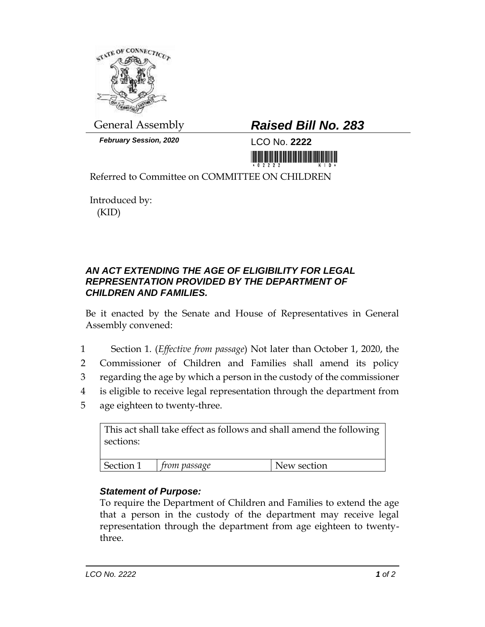

*February Session, 2020* LCO No. **2222**

## General Assembly *Raised Bill No. 283*

<u> III Marshall Marshall Marshall Marshall Marshall Marshall Marshall Marshall Marshall Marshall Marshall Marshal</u>

Referred to Committee on COMMITTEE ON CHILDREN

Introduced by: (KID)

## *AN ACT EXTENDING THE AGE OF ELIGIBILITY FOR LEGAL REPRESENTATION PROVIDED BY THE DEPARTMENT OF CHILDREN AND FAMILIES.*

Be it enacted by the Senate and House of Representatives in General Assembly convened:

- 1 Section 1. (*Effective from passage*) Not later than October 1, 2020, the
- 2 Commissioner of Children and Families shall amend its policy
- 3 regarding the age by which a person in the custody of the commissioner
- 4 is eligible to receive legal representation through the department from
- 5 age eighteen to twenty-three.

| This act shall take effect as follows and shall amend the following<br>sections: |              |             |
|----------------------------------------------------------------------------------|--------------|-------------|
| Section 1                                                                        | from passage | New section |

## *Statement of Purpose:*

To require the Department of Children and Families to extend the age that a person in the custody of the department may receive legal representation through the department from age eighteen to twentythree.